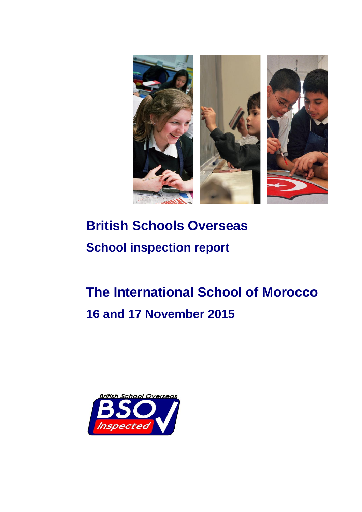

# **British Schools Overseas School inspection report**

# **The International School of Morocco 16 and 17 November 2015**

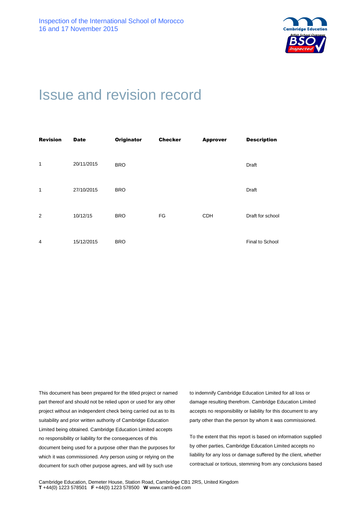

## Issue and revision record

| <b>Revision</b> | <b>Date</b> | <b>Originator</b> | <b>Checker</b> | <b>Approver</b> | <b>Description</b> |
|-----------------|-------------|-------------------|----------------|-----------------|--------------------|
| 1               | 20/11/2015  | <b>BRO</b>        |                |                 | Draft              |
| 1               | 27/10/2015  | <b>BRO</b>        |                |                 | Draft              |
| 2               | 10/12/15    | <b>BRO</b>        | FG             | <b>CDH</b>      | Draft for school   |
| $\overline{4}$  | 15/12/2015  | <b>BRO</b>        |                |                 | Final to School    |

This document has been prepared for the titled project or named part thereof and should not be relied upon or used for any other project without an independent check being carried out as to its suitability and prior written authority of Cambridge Education Limited being obtained. Cambridge Education Limited accepts no responsibility or liability for the consequences of this document being used for a purpose other than the purposes for which it was commissioned. Any person using or relying on the document for such other purpose agrees, and will by such use

to indemnify Cambridge Education Limited for all loss or damage resulting therefrom. Cambridge Education Limited accepts no responsibility or liability for this document to any party other than the person by whom it was commissioned.

To the extent that this report is based on information supplied by other parties, Cambridge Education Limited accepts no liability for any loss or damage suffered by the client, whether contractual or tortious, stemming from any conclusions based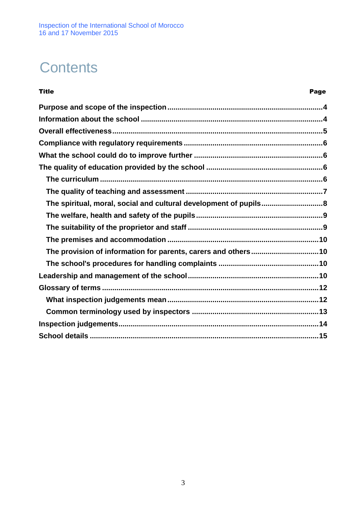Inspection of the International School of Morocco 16 and 17 November 2015

## **Contents**

| <b>Title</b>                                                      | Page |
|-------------------------------------------------------------------|------|
|                                                                   |      |
|                                                                   |      |
|                                                                   |      |
|                                                                   |      |
|                                                                   |      |
|                                                                   |      |
|                                                                   |      |
|                                                                   |      |
| The spiritual, moral, social and cultural development of pupils 8 |      |
|                                                                   |      |
|                                                                   |      |
|                                                                   |      |
| The provision of information for parents, carers and others10     |      |
|                                                                   |      |
|                                                                   |      |
|                                                                   |      |
|                                                                   |      |
|                                                                   |      |
|                                                                   |      |
|                                                                   |      |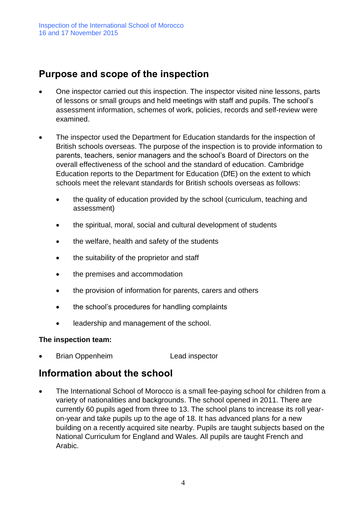## **Purpose and scope of the inspection**

- One inspector carried out this inspection. The inspector visited nine lessons, parts of lessons or small groups and held meetings with staff and pupils. The school's assessment information, schemes of work, policies, records and self-review were examined.
- The inspector used the Department for Education standards for the inspection of British schools overseas. The purpose of the inspection is to provide information to parents, teachers, senior managers and the school's Board of Directors on the overall effectiveness of the school and the standard of education. Cambridge Education reports to the Department for Education (DfE) on the extent to which schools meet the relevant standards for British schools overseas as follows:
	- the quality of education provided by the school (curriculum, teaching and assessment)
	- the spiritual, moral, social and cultural development of students
	- the welfare, health and safety of the students
	- the suitability of the proprietor and staff
	- the premises and accommodation
	- the provision of information for parents, carers and others
	- the school's procedures for handling complaints
	- leadership and management of the school.

#### **The inspection team:**

• Brian Oppenheim Lead inspector

### **Information about the school**

• The International School of Morocco is a small fee-paying school for children from a variety of nationalities and backgrounds. The school opened in 2011. There are currently 60 pupils aged from three to 13. The school plans to increase its roll yearon-year and take pupils up to the age of 18. It has advanced plans for a new building on a recently acquired site nearby. Pupils are taught subjects based on the National Curriculum for England and Wales. All pupils are taught French and Arabic.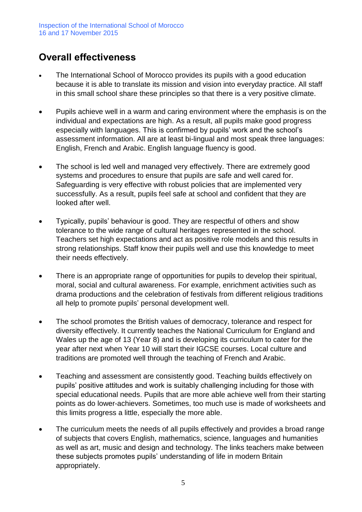## **Overall effectiveness**

- The International School of Morocco provides its pupils with a good education because it is able to translate its mission and vision into everyday practice. All staff in this small school share these principles so that there is a very positive climate.
- Pupils achieve well in a warm and caring environment where the emphasis is on the individual and expectations are high. As a result, all pupils make good progress especially with languages. This is confirmed by pupils' work and the school's assessment information. All are at least bi-lingual and most speak three languages: English, French and Arabic. English language fluency is good.
- The school is led well and managed very effectively. There are extremely good systems and procedures to ensure that pupils are safe and well cared for. Safeguarding is very effective with robust policies that are implemented very successfully. As a result, pupils feel safe at school and confident that they are looked after well.
- Typically, pupils' behaviour is good. They are respectful of others and show tolerance to the wide range of cultural heritages represented in the school. Teachers set high expectations and act as positive role models and this results in strong relationships. Staff know their pupils well and use this knowledge to meet their needs effectively.
- There is an appropriate range of opportunities for pupils to develop their spiritual, moral, social and cultural awareness. For example, enrichment activities such as drama productions and the celebration of festivals from different religious traditions all help to promote pupils' personal development well.
- The school promotes the British values of democracy, tolerance and respect for diversity effectively. It currently teaches the National Curriculum for England and Wales up the age of 13 (Year 8) and is developing its curriculum to cater for the year after next when Year 10 will start their IGCSE courses. Local culture and traditions are promoted well through the teaching of French and Arabic.
- Teaching and assessment are consistently good. Teaching builds effectively on pupils' positive attitudes and work is suitably challenging including for those with special educational needs. Pupils that are more able achieve well from their starting points as do lower-achievers. Sometimes, too much use is made of worksheets and this limits progress a little, especially the more able.
- The curriculum meets the needs of all pupils effectively and provides a broad range of subjects that covers English, mathematics, science, languages and humanities as well as art, music and design and technology. The links teachers make between these subjects promotes pupils' understanding of life in modern Britain appropriately.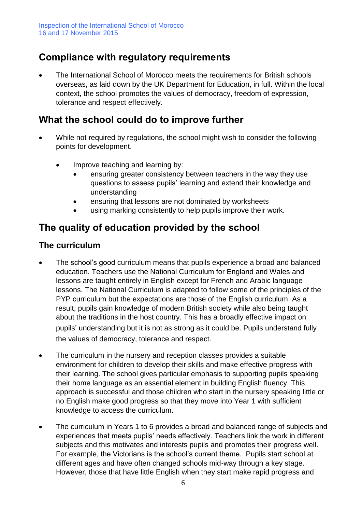## **Compliance with regulatory requirements**

• The International School of Morocco meets the requirements for British schools overseas, as laid down by the UK Department for Education, in full. Within the local context, the school promotes the values of democracy, freedom of expression, tolerance and respect effectively.

## **What the school could do to improve further**

- While not required by regulations, the school might wish to consider the following points for development.
	- Improve teaching and learning by:
		- ensuring greater consistency between teachers in the way they use questions to assess pupils' learning and extend their knowledge and understanding
		- ensuring that lessons are not dominated by worksheets
		- using marking consistently to help pupils improve their work.

## **The quality of education provided by the school**

#### **The curriculum**

- The school's good curriculum means that pupils experience a broad and balanced education. Teachers use the National Curriculum for England and Wales and lessons are taught entirely in English except for French and Arabic language lessons. The National Curriculum is adapted to follow some of the principles of the PYP curriculum but the expectations are those of the English curriculum. As a result, pupils gain knowledge of modern British society while also being taught about the traditions in the host country. This has a broadly effective impact on pupils' understanding but it is not as strong as it could be. Pupils understand fully the values of democracy, tolerance and respect.
- The curriculum in the nursery and reception classes provides a suitable environment for children to develop their skills and make effective progress with their learning. The school gives particular emphasis to supporting pupils speaking their home language as an essential element in building English fluency. This approach is successful and those children who start in the nursery speaking little or no English make good progress so that they move into Year 1 with sufficient knowledge to access the curriculum.
- The curriculum in Years 1 to 6 provides a broad and balanced range of subjects and experiences that meets pupils' needs effectively. Teachers link the work in different subjects and this motivates and interests pupils and promotes their progress well. For example, the Victorians is the school's current theme. Pupils start school at different ages and have often changed schools mid-way through a key stage. However, those that have little English when they start make rapid progress and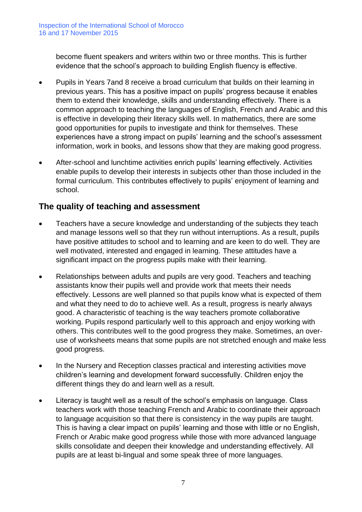become fluent speakers and writers within two or three months. This is further evidence that the school's approach to building English fluency is effective.

- Pupils in Years 7and 8 receive a broad curriculum that builds on their learning in previous years. This has a positive impact on pupils' progress because it enables them to extend their knowledge, skills and understanding effectively. There is a common approach to teaching the languages of English, French and Arabic and this is effective in developing their literacy skills well. In mathematics, there are some good opportunities for pupils to investigate and think for themselves. These experiences have a strong impact on pupils' learning and the school's assessment information, work in books, and lessons show that they are making good progress.
- After-school and lunchtime activities enrich pupils' learning effectively. Activities enable pupils to develop their interests in subjects other than those included in the formal curriculum. This contributes effectively to pupils' enjoyment of learning and school.

#### **The quality of teaching and assessment**

- Teachers have a secure knowledge and understanding of the subjects they teach and manage lessons well so that they run without interruptions. As a result, pupils have positive attitudes to school and to learning and are keen to do well. They are well motivated, interested and engaged in learning. These attitudes have a significant impact on the progress pupils make with their learning.
- Relationships between adults and pupils are very good. Teachers and teaching assistants know their pupils well and provide work that meets their needs effectively. Lessons are well planned so that pupils know what is expected of them and what they need to do to achieve well. As a result, progress is nearly always good. A characteristic of teaching is the way teachers promote collaborative working. Pupils respond particularly well to this approach and enjoy working with others. This contributes well to the good progress they make. Sometimes, an overuse of worksheets means that some pupils are not stretched enough and make less good progress.
- In the Nursery and Reception classes practical and interesting activities move children's learning and development forward successfully. Children enjoy the different things they do and learn well as a result.
- Literacy is taught well as a result of the school's emphasis on language. Class teachers work with those teaching French and Arabic to coordinate their approach to language acquisition so that there is consistency in the way pupils are taught. This is having a clear impact on pupils' learning and those with little or no English, French or Arabic make good progress while those with more advanced language skills consolidate and deepen their knowledge and understanding effectively. All pupils are at least bi-lingual and some speak three of more languages.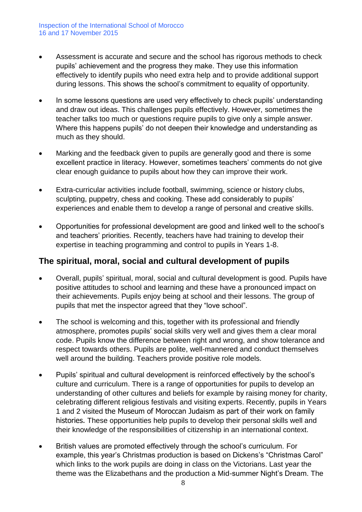- Assessment is accurate and secure and the school has rigorous methods to check pupils' achievement and the progress they make. They use this information effectively to identify pupils who need extra help and to provide additional support during lessons. This shows the school's commitment to equality of opportunity.
- In some lessons questions are used very effectively to check pupils' understanding and draw out ideas. This challenges pupils effectively. However, sometimes the teacher talks too much or questions require pupils to give only a simple answer. Where this happens pupils' do not deepen their knowledge and understanding as much as they should.
- Marking and the feedback given to pupils are generally good and there is some excellent practice in literacy. However, sometimes teachers' comments do not give clear enough guidance to pupils about how they can improve their work.
- Extra-curricular activities include football, swimming, science or history clubs, sculpting, puppetry, chess and cooking. These add considerably to pupils' experiences and enable them to develop a range of personal and creative skills.
- Opportunities for professional development are good and linked well to the school's and teachers' priorities. Recently, teachers have had training to develop their expertise in teaching programming and control to pupils in Years 1-8.

#### **The spiritual, moral, social and cultural development of pupils**

- Overall, pupils' spiritual, moral, social and cultural development is good. Pupils have positive attitudes to school and learning and these have a pronounced impact on their achievements. Pupils enjoy being at school and their lessons. The group of pupils that met the inspector agreed that they "love school".
- The school is welcoming and this, together with its professional and friendly atmosphere, promotes pupils' social skills very well and gives them a clear moral code. Pupils know the difference between right and wrong, and show tolerance and respect towards others. Pupils are polite, well-mannered and conduct themselves well around the building. Teachers provide positive role models.
- Pupils' spiritual and cultural development is reinforced effectively by the school's culture and curriculum. There is a range of opportunities for pupils to develop an understanding of other cultures and beliefs for example by raising money for charity, celebrating different religious festivals and visiting experts. Recently, pupils in Years 1 and 2 visited the Museum of Moroccan Judaism as part of their work on family histories. These opportunities help pupils to develop their personal skills well and their knowledge of the responsibilities of citizenship in an international context.
- British values are promoted effectively through the school's curriculum. For example, this year's Christmas production is based on Dickens's "Christmas Carol" which links to the work pupils are doing in class on the Victorians. Last year the theme was the Elizabethans and the production a Mid-summer Night's Dream. The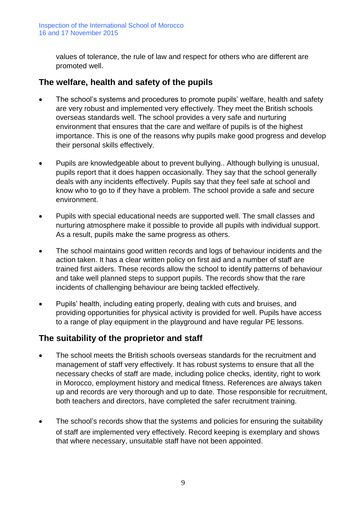values of tolerance, the rule of law and respect for others who are different are promoted well.

#### **The welfare, health and safety of the pupils**

- The school's systems and procedures to promote pupils' welfare, health and safety are very robust and implemented very effectively. They meet the British schools overseas standards well. The school provides a very safe and nurturing environment that ensures that the care and welfare of pupils is of the highest importance. This is one of the reasons why pupils make good progress and develop their personal skills effectively.
- Pupils are knowledgeable about to prevent bullying.. Although bullying is unusual, pupils report that it does happen occasionally. They say that the school generally deals with any incidents effectively. Pupils say that they feel safe at school and know who to go to if they have a problem. The school provide a safe and secure environment.
- Pupils with special educational needs are supported well. The small classes and nurturing atmosphere make it possible to provide all pupils with individual support. As a result, pupils make the same progress as others.
- The school maintains good written records and logs of behaviour incidents and the action taken. It has a clear written policy on first aid and a number of staff are trained first aiders. These records allow the school to identify patterns of behaviour and take well planned steps to support pupils. The records show that the rare incidents of challenging behaviour are being tackled effectively.
- Pupils' health, including eating properly, dealing with cuts and bruises, and providing opportunities for physical activity is provided for well. Pupils have access to a range of play equipment in the playground and have regular PE lessons.

#### **The suitability of the proprietor and staff**

- The school meets the British schools overseas standards for the recruitment and management of staff very effectively. It has robust systems to ensure that all the necessary checks of staff are made, including police checks, identity, right to work in Morocco, employment history and medical fitness. References are always taken up and records are very thorough and up to date. Those responsible for recruitment, both teachers and directors, have completed the safer recruitment training.
- The school's records show that the systems and policies for ensuring the suitability of staff are implemented very effectively. Record keeping is exemplary and shows that where necessary, unsuitable staff have not been appointed.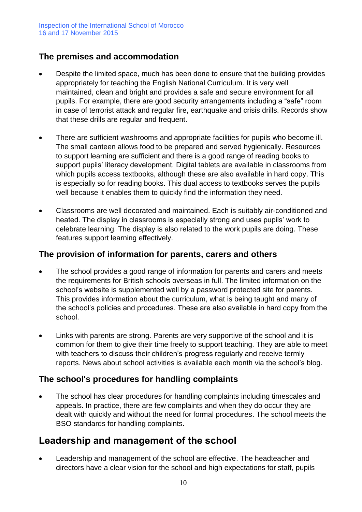#### **The premises and accommodation**

- Despite the limited space, much has been done to ensure that the building provides appropriately for teaching the English National Curriculum. It is very well maintained, clean and bright and provides a safe and secure environment for all pupils. For example, there are good security arrangements including a "safe" room in case of terrorist attack and regular fire, earthquake and crisis drills. Records show that these drills are regular and frequent.
- There are sufficient washrooms and appropriate facilities for pupils who become ill. The small canteen allows food to be prepared and served hygienically. Resources to support learning are sufficient and there is a good range of reading books to support pupils' literacy development. Digital tablets are available in classrooms from which pupils access textbooks, although these are also available in hard copy. This is especially so for reading books. This dual access to textbooks serves the pupils well because it enables them to quickly find the information they need.
- Classrooms are well decorated and maintained. Each is suitably air-conditioned and heated. The display in classrooms is especially strong and uses pupils' work to celebrate learning. The display is also related to the work pupils are doing. These features support learning effectively.

#### **The provision of information for parents, carers and others**

- The school provides a good range of information for parents and carers and meets the requirements for British schools overseas in full. The limited information on the school's website is supplemented well by a password protected site for parents. This provides information about the curriculum, what is being taught and many of the school's policies and procedures. These are also available in hard copy from the school.
- Links with parents are strong. Parents are very supportive of the school and it is common for them to give their time freely to support teaching. They are able to meet with teachers to discuss their children's progress regularly and receive termly reports. News about school activities is available each month via the school's blog.

#### **The school's procedures for handling complaints**

The school has clear procedures for handling complaints including timescales and appeals. In practice, there are few complaints and when they do occur they are dealt with quickly and without the need for formal procedures. The school meets the BSO standards for handling complaints.

### **Leadership and management of the school**

• Leadership and management of the school are effective. The headteacher and directors have a clear vision for the school and high expectations for staff, pupils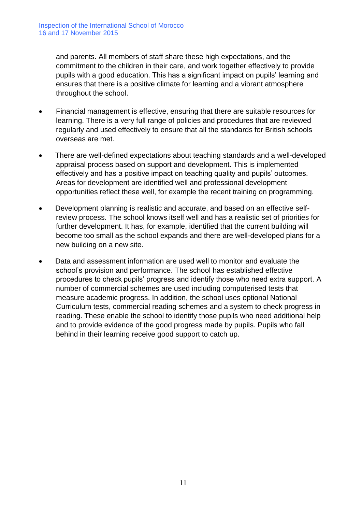and parents. All members of staff share these high expectations, and the commitment to the children in their care, and work together effectively to provide pupils with a good education. This has a significant impact on pupils' learning and ensures that there is a positive climate for learning and a vibrant atmosphere throughout the school.

- Financial management is effective, ensuring that there are suitable resources for learning. There is a very full range of policies and procedures that are reviewed regularly and used effectively to ensure that all the standards for British schools overseas are met.
- There are well-defined expectations about teaching standards and a well-developed appraisal process based on support and development. This is implemented effectively and has a positive impact on teaching quality and pupils' outcomes. Areas for development are identified well and professional development opportunities reflect these well, for example the recent training on programming.
- Development planning is realistic and accurate, and based on an effective selfreview process. The school knows itself well and has a realistic set of priorities for further development. It has, for example, identified that the current building will become too small as the school expands and there are well-developed plans for a new building on a new site.
- Data and assessment information are used well to monitor and evaluate the school's provision and performance. The school has established effective procedures to check pupils' progress and identify those who need extra support. A number of commercial schemes are used including computerised tests that measure academic progress. In addition, the school uses optional National Curriculum tests, commercial reading schemes and a system to check progress in reading. These enable the school to identify those pupils who need additional help and to provide evidence of the good progress made by pupils. Pupils who fall behind in their learning receive good support to catch up.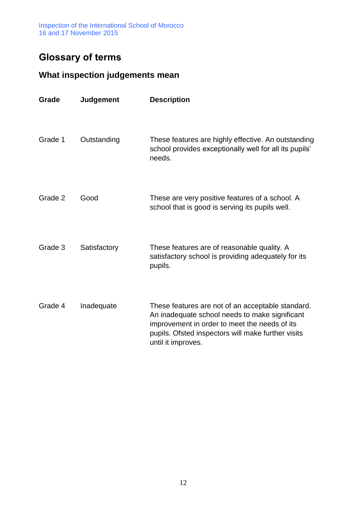Inspection of the International School of Morocco 16 and 17 November 2015

## **Glossary of terms**

## **What inspection judgements mean**

| Grade   | <b>Judgement</b> | <b>Description</b>                                                                                                                                                                                                               |
|---------|------------------|----------------------------------------------------------------------------------------------------------------------------------------------------------------------------------------------------------------------------------|
| Grade 1 | Outstanding      | These features are highly effective. An outstanding<br>school provides exceptionally well for all its pupils'<br>needs.                                                                                                          |
| Grade 2 | Good             | These are very positive features of a school. A<br>school that is good is serving its pupils well.                                                                                                                               |
| Grade 3 | Satisfactory     | These features are of reasonable quality. A<br>satisfactory school is providing adequately for its<br>pupils.                                                                                                                    |
| Grade 4 | Inadequate       | These features are not of an acceptable standard.<br>An inadequate school needs to make significant<br>improvement in order to meet the needs of its<br>pupils. Ofsted inspectors will make further visits<br>until it improves. |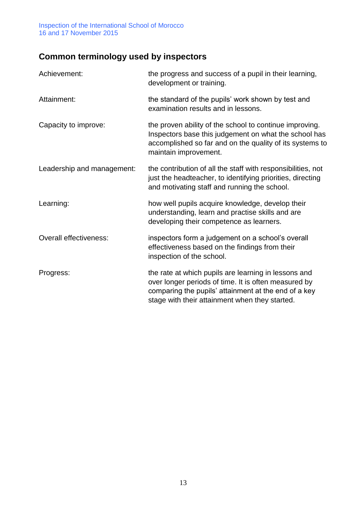Inspection of the International School of Morocco 16 and 17 November 2015

## **Common terminology used by inspectors**

| Achievement:               | the progress and success of a pupil in their learning,<br>development or training.                                                                                                                                     |
|----------------------------|------------------------------------------------------------------------------------------------------------------------------------------------------------------------------------------------------------------------|
| Attainment:                | the standard of the pupils' work shown by test and<br>examination results and in lessons.                                                                                                                              |
| Capacity to improve:       | the proven ability of the school to continue improving.<br>Inspectors base this judgement on what the school has<br>accomplished so far and on the quality of its systems to<br>maintain improvement.                  |
| Leadership and management: | the contribution of all the staff with responsibilities, not<br>just the headteacher, to identifying priorities, directing<br>and motivating staff and running the school.                                             |
| Learning:                  | how well pupils acquire knowledge, develop their<br>understanding, learn and practise skills and are<br>developing their competence as learners.                                                                       |
| Overall effectiveness:     | inspectors form a judgement on a school's overall<br>effectiveness based on the findings from their<br>inspection of the school.                                                                                       |
| Progress:                  | the rate at which pupils are learning in lessons and<br>over longer periods of time. It is often measured by<br>comparing the pupils' attainment at the end of a key<br>stage with their attainment when they started. |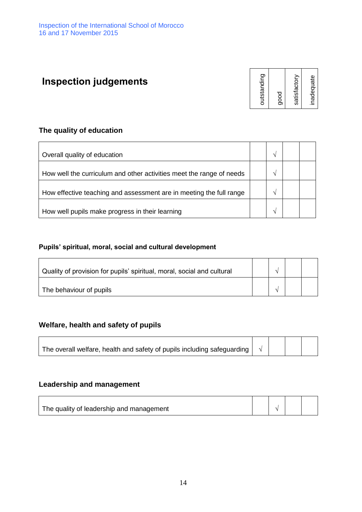## **Inspection judgements**

| outstanding  |
|--------------|
| good         |
| satisfactory |
| inadequate   |

#### **The quality of education**

| Overall quality of education                                         |  |  |
|----------------------------------------------------------------------|--|--|
| How well the curriculum and other activities meet the range of needs |  |  |
| How effective teaching and assessment are in meeting the full range  |  |  |
| How well pupils make progress in their learning                      |  |  |

#### **Pupils' spiritual, moral, social and cultural development**

| Quality of provision for pupils' spiritual, moral, social and cultural |  |  |
|------------------------------------------------------------------------|--|--|
| The behaviour of pupils                                                |  |  |

#### **Welfare, health and safety of pupils**

| $_{+}$ The overall welfare, health and safety of pupils including safeguarding $\left \begin{array}{c}\gamma\end{array}\right $ $\left \begin{array}{c} \end{array}\right $ |  |  |
|-----------------------------------------------------------------------------------------------------------------------------------------------------------------------------|--|--|
|                                                                                                                                                                             |  |  |

#### **Leadership and management**

| The quality of leadership and management |  |  |
|------------------------------------------|--|--|
|                                          |  |  |